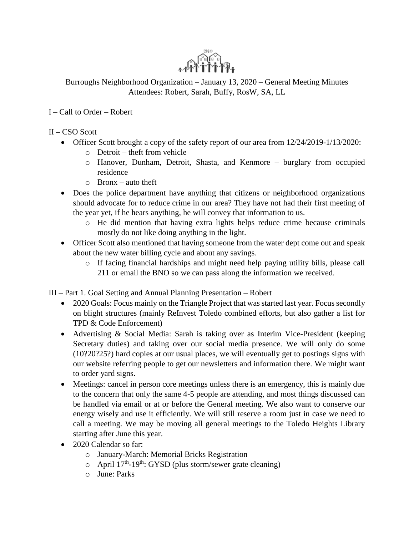

Burroughs Neighborhood Organization – January 13, 2020 – General Meeting Minutes Attendees: Robert, Sarah, Buffy, RosW, SA, LL

## I – Call to Order – Robert

- II CSO Scott
	- Officer Scott brought a copy of the safety report of our area from  $12/24/2019-1/13/2020$ :
		- o Detroit theft from vehicle
		- o Hanover, Dunham, Detroit, Shasta, and Kenmore burglary from occupied residence
		- o Bronx auto theft
	- Does the police department have anything that citizens or neighborhood organizations should advocate for to reduce crime in our area? They have not had their first meeting of the year yet, if he hears anything, he will convey that information to us.
		- o He did mention that having extra lights helps reduce crime because criminals mostly do not like doing anything in the light.
	- Officer Scott also mentioned that having someone from the water dept come out and speak about the new water billing cycle and about any savings.
		- o If facing financial hardships and might need help paying utility bills, please call 211 or email the BNO so we can pass along the information we received.

III – Part 1. Goal Setting and Annual Planning Presentation – Robert

- 2020 Goals: Focus mainly on the Triangle Project that was started last year. Focus secondly on blight structures (mainly ReInvest Toledo combined efforts, but also gather a list for TPD & Code Enforcement)
- Advertising & Social Media: Sarah is taking over as Interim Vice-President (keeping Secretary duties) and taking over our social media presence. We will only do some (10?20?25?) hard copies at our usual places, we will eventually get to postings signs with our website referring people to get our newsletters and information there. We might want to order yard signs.
- Meetings: cancel in person core meetings unless there is an emergency, this is mainly due to the concern that only the same 4-5 people are attending, and most things discussed can be handled via email or at or before the General meeting. We also want to conserve our energy wisely and use it efficiently. We will still reserve a room just in case we need to call a meeting. We may be moving all general meetings to the Toledo Heights Library starting after June this year.
- 2020 Calendar so far:
	- o January-March: Memorial Bricks Registration
	- $\circ$  April 17<sup>th</sup>-19<sup>th</sup>: GYSD (plus storm/sewer grate cleaning)
	- o June: Parks